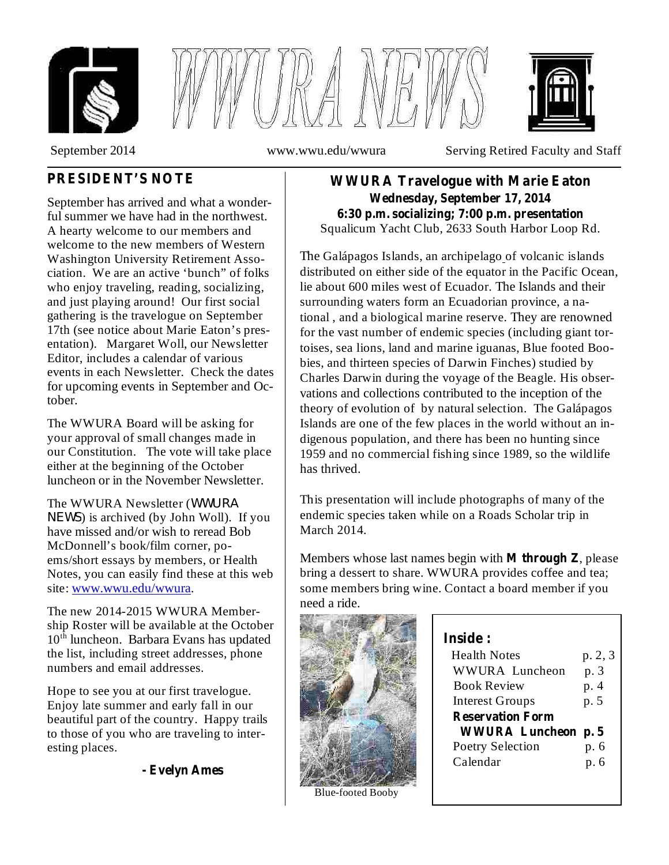





September 2014 www.wwu.edu/wwura Serving Retired Faculty and Staff

# **PRESIDENT'S NOTE**

September has arrived and what a wonderful summer we have had in the northwest. A hearty welcome to our members and welcome to the new members of Western Washington University Retirement Association. We are an active 'bunch" of folks who enjoy traveling, reading, socializing, and just playing around! Our first social gathering is the travelogue on September 17th (see notice about Marie Eaton's presentation). Margaret Woll, our Newsletter Editor, includes a calendar of various events in each Newsletter. Check the dates for upcoming events in September and October.

The WWURA Board will be asking for your approval of small changes made in our Constitution. The vote will take place either at the beginning of the October luncheon or in the November Newsletter.

The WWURA Newsletter ( *WWURA* ) is archived (by John Woll). If you *NEWS*have missed and/or wish to reread Bob McDonnell's book/film corner, poems/short essays by members, or Health Notes, you can easily find these at this web site: www.wwu.edu/wwura.

The new 2014-2015 WWURA Membership Roster will be available at the October 10<sup>th</sup> luncheon. Barbara Evans has updated the list, including street addresses, phone numbers and email addresses.

Hope to see you at our first travelogue. Enjoy late summer and early fall in our beautiful part of the country. Happy trails to those of you who are traveling to interesting places.

#### **- Evelyn Ames**

Squalicum Yacht Club, 2633 South Harbor Loop Rd. **WWURA Travelogue with Marie Eaton Wednesday, September 17, 2014 6:30 p.m. socializing; 7:00 p.m. presentation**

The Galápagos Islands, an archipelago of volcanic islands distributed on either side of the equator in the Pacific Ocean, lie about 600 miles west of Ecuador. The Islands and their surrounding waters form an Ecuadorian province, a national , and a biological marine reserve. They are renowned for the vast number of endemic species (including giant tortoises, sea lions, land and marine iguanas, Blue footed Boobies, and thirteen species of Darwin Finches) studied by Charles Darwin during the voyage of the Beagle. His observations and collections contributed to the inception of the theory of evolution of by natural selection. The Galápagos Islands are one of the few places in the world without an indigenous population, and there has been no hunting since 1959 and no commercial fishing since 1989, so the wildlife has thrived.

This presentation will include photographs of many of the endemic species taken while on a Roads Scholar trip in March 2014.

Members whose last names begin with **M** through **Z**, please bring a dessert to share. WWURA provides coffee and tea; some members bring wine. Contact a board member if you need a ride.



Blue-footed Booby

| Inside :                  |         |
|---------------------------|---------|
| <b>Health Notes</b>       | p. 2, 3 |
| <b>WWURA Luncheon</b>     | p. 3    |
| <b>Book Review</b>        | p. 4    |
| <b>Interest Groups</b>    | p. 5    |
| <b>Reservation Form</b>   |         |
| <b>WWURA Luncheon p.5</b> |         |
| <b>Poetry Selection</b>   | p. 6    |
| Calendar                  | p. 6    |
|                           |         |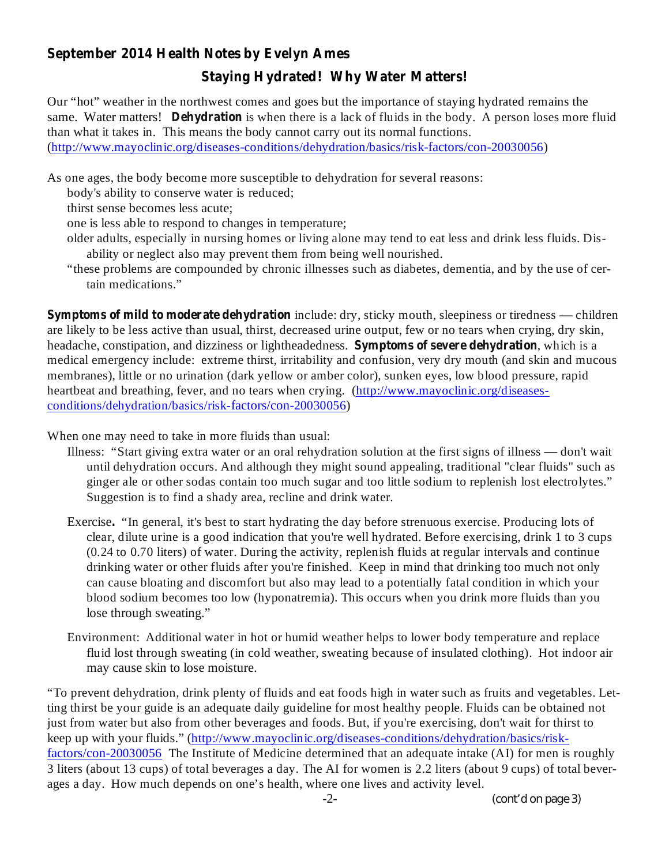### **September 2014 Health Notes by Evelyn Ames**

# **Staying Hydrated! Why Water Matters!**

same. Water matters! **Dehydration** is when there is a lack of fluids in the body. A person loses more fluid Our "hot" weather in the northwest comes and goes but the importance of staying hydrated remains the than what it takes in. This means the body cannot carry out its normal functions. (http://www.mayoclinic.org/diseases-conditions/dehydration/basics/risk-factors/con-20030056)

As one ages, the body become more susceptible to dehydration for several reasons:

body's ability to conserve water is reduced;

thirst sense becomes less acute;

one is less able to respond to changes in temperature;

- older adults, especially in nursing homes or living alone may tend to eat less and drink less fluids. Disability or neglect also may prevent them from being well nourished.
- "these problems are compounded by chronic illnesses such as diabetes, dementia, and by the use of certain medications."

**Symptoms of mild to moderate dehydration** include: dry, sticky mouth, sleepiness or tiredness — children headache, constipation, and dizziness or lightheadedness. Symptoms of severe dehydration, which is a are likely to be less active than usual, thirst, decreased urine output, few or no tears when crying, dry skin, medical emergency include: extreme thirst, irritability and confusion, very dry mouth (and skin and mucous membranes), little or no urination (dark yellow or amber color), sunken eyes, low blood pressure, rapid heartbeat and breathing, fever, and no tears when crying. (http://www.mayoclinic.org/diseasesconditions/dehydration/basics/risk-factors/con-20030056)

When one may need to take in more fluids than usual:

- Illness: "Start giving extra water or an oral rehydration solution at the first signs of illness don't wait until dehydration occurs. And although they might sound appealing, traditional "clear fluids" such as ginger ale or other sodas contain too much sugar and too little sodium to replenish lost electrolytes." Suggestion is to find a shady area, recline and drink water.
- Exercise. "In general, it's best to start hydrating the day before strenuous exercise. Producing lots of clear, dilute urine is a good indication that you're well hydrated. Before exercising, drink 1 to 3 cups (0.24 to 0.70 liters) of water. During the activity, replenish fluids at regular intervals and continue drinking water or other fluids after you're finished. Keep in mind that drinking too much not only can cause bloating and discomfort but also may lead to a potentially fatal condition in which your blood sodium becomes too low (hyponatremia). This occurs when you drink more fluids than you lose through sweating."
- Environment: Additional water in hot or humid weather helps to lower body temperature and replace fluid lost through sweating (in cold weather, sweating because of insulated clothing). Hot indoor air may cause skin to lose moisture.

"To prevent dehydration, drink plenty of fluids and eat foods high in water such as fruits and vegetables. Letting thirst be your guide is an adequate daily guideline for most healthy people. Fluids can be obtained not just from water but also from other beverages and foods. But, if you're exercising, don't wait for thirst to keep up with your fluids." (http://www.mayoclinic.org/diseases-conditions/dehydration/basics/riskfactors/con-20030056 The Institute of Medicine determined that an adequate intake (AI) for men is roughly 3 liters (about 13 cups) of total beverages a day. The AI for women is 2.2 liters (about 9 cups) of total beverages a day. How much depends on one's health, where one lives and activity level.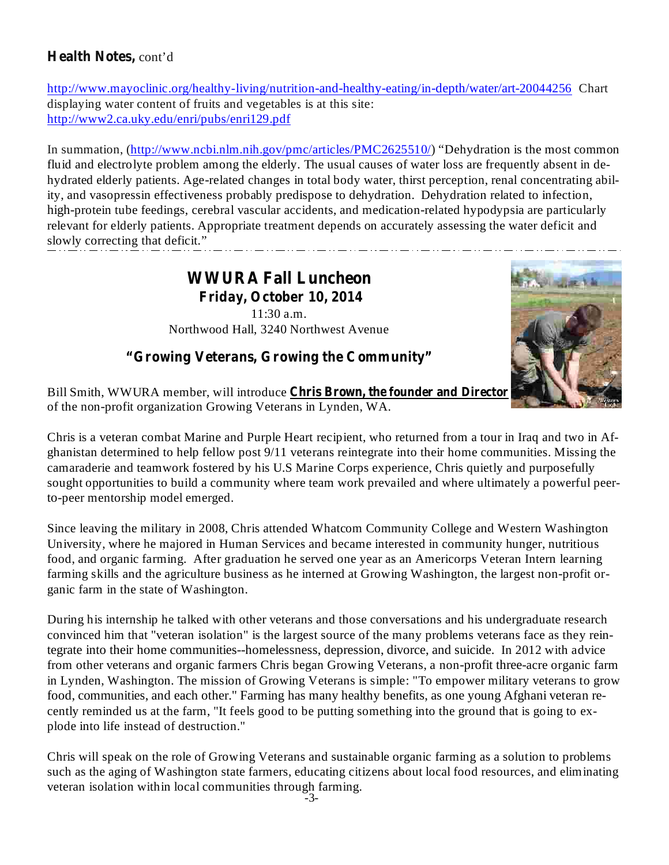## **Health Notes,** cont'd

http://www.mayoclinic.org/healthy-living/nutrition-and-healthy-eating/in-depth/water/art-20044256 Chart displaying water content of fruits and vegetables is at this site: http://www2.ca.uky.edu/enri/pubs/enri129.pdf

In summation, (http://www.ncbi.nlm.nih.gov/pmc/articles/PMC2625510/) "Dehydration is the most common fluid and electrolyte problem among the elderly. The usual causes of water loss are frequently absent in dehydrated elderly patients. Age-related changes in total body water, thirst perception, renal concentrating ability, and vasopressin effectiveness probably predispose to dehydration. Dehydration related to infection, high-protein tube feedings, cerebral vascular accidents, and medication-related hypodypsia are particularly relevant for elderly patients. Appropriate treatment depends on accurately assessing the water deficit and slowly correcting that deficit."

## **WWURA Fall Luncheon Friday, October 10, 2014** 11:30 a.m. Northwood Hall, 3240 Northwest Avenue



**"Growing Veterans, Growing the Community"**

**Chris Brown, the founder and Director** Bill Smith, WWURA member, will introduce of the non-profit organization Growing Veterans in Lynden, WA.

Chris is a veteran combat Marine and Purple Heart recipient, who returned from a tour in Iraq and two in Afghanistan determined to help fellow post 9/11 veterans reintegrate into their home communities. Missing the camaraderie and teamwork fostered by his U.S Marine Corps experience, Chris quietly and purposefully sought opportunities to build a community where team work prevailed and where ultimately a powerful peerto-peer mentorship model emerged.

Since leaving the military in 2008, Chris attended Whatcom Community College and Western Washington University, where he majored in Human Services and became interested in community hunger, nutritious food, and organic farming. After graduation he served one year as an Americorps Veteran Intern learning farming skills and the agriculture business as he interned at Growing Washington, the largest non-profit organic farm in the state of Washington.

During his internship he talked with other veterans and those conversations and his undergraduate research convinced him that "veteran isolation" is the largest source of the many problems veterans face as they reintegrate into their home communities--homelessness, depression, divorce, and suicide. In 2012 with advice from other veterans and organic farmers Chris began Growing Veterans, a non-profit three-acre organic farm in Lynden, Washington. The mission of Growing Veterans is simple: "To empower military veterans to grow food, communities, and each other." Farming has many healthy benefits, as one young Afghani veteran recently reminded us at the farm, "It feels good to be putting something into the ground that is going to explode into life instead of destruction."

Chris will speak on the role of Growing Veterans and sustainable organic farming as a solution to problems such as the aging of Washington state farmers, educating citizens about local food resources, and eliminating veteran isolation within local communities through farming.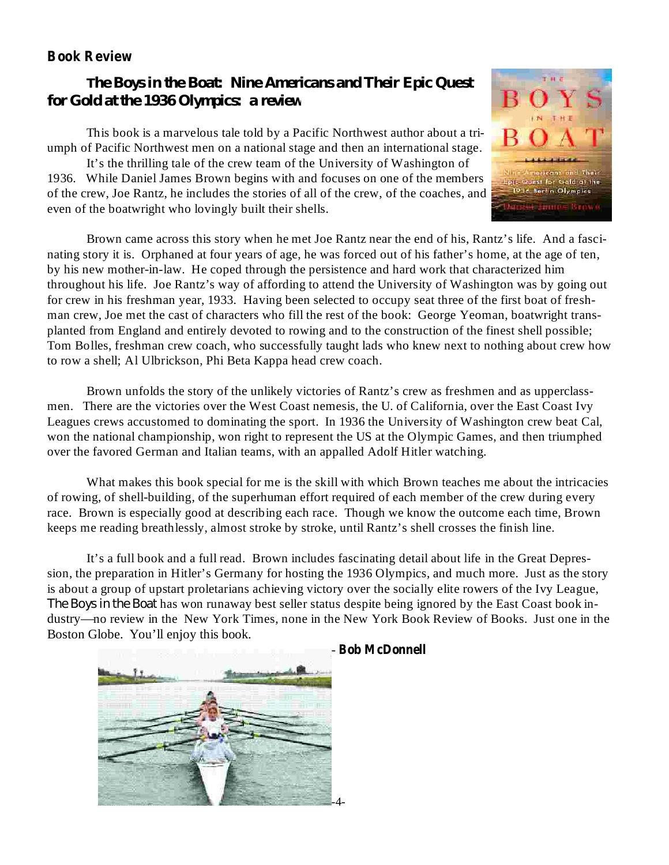### **Book Review**

## *The Boys in the Boat: Nine Americans and Their Epic Quest for Gold at the 1936 Olympics: a review*

This book is a marvelous tale told by a Pacific Northwest author about a triumph of Pacific Northwest men on a national stage and then an international stage.

It's the thrilling tale of the crew team of the University of Washington of 1936. While Daniel James Brown begins with and focuses on one of the members of the crew, Joe Rantz, he includes the stories of all of the crew, of the coaches, and even of the boatwright who lovingly built their shells.

Brown came across this story when he met Joe Rantz near the end of his, Rantz's life. And a fascinating story it is. Orphaned at four years of age, he was forced out of his father's home, at the age of ten, by his new mother-in-law. He coped through the persistence and hard work that characterized him throughout his life. Joe Rantz's way of affording to attend the University of Washington was by going out for crew in his freshman year, 1933. Having been selected to occupy seat three of the first boat of freshman crew, Joe met the cast of characters who fill the rest of the book: George Yeoman, boatwright transplanted from England and entirely devoted to rowing and to the construction of the finest shell possible; Tom Bolles, freshman crew coach, who successfully taught lads who knew next to nothing about crew how to row a shell; Al Ulbrickson, Phi Beta Kappa head crew coach.

Brown unfolds the story of the unlikely victories of Rantz's crew as freshmen and as upperclassmen. There are the victories over the West Coast nemesis, the U. of California, over the East Coast Ivy Leagues crews accustomed to dominating the sport. In 1936 the University of Washington crew beat Cal, won the national championship, won right to represent the US at the Olympic Games, and then triumphed over the favored German and Italian teams, with an appalled Adolf Hitler watching.

What makes this book special for me is the skill with which Brown teaches me about the intricacies of rowing, of shell-building, of the superhuman effort required of each member of the crew during every race. Brown is especially good at describing each race. Though we know the outcome each time, Brown keeps me reading breathlessly, almost stroke by stroke, until Rantz's shell crosses the finish line.

It's a full book and a full read. Brown includes fascinating detail about life in the Great Depression, the preparation in Hitler's Germany for hosting the 1936 Olympics, and much more. Just as the story is about a group of upstart proletarians achieving victory over the socially elite rowers of the Ivy League, *The Boys in the Boat* has won runaway best seller status despite being ignored by the East Coast book industry—no review in the New York Times, none in the New York Book Review of Books. Just one in the Boston Globe. You'll enjoy this book.



#### - **Bob McDonnell**

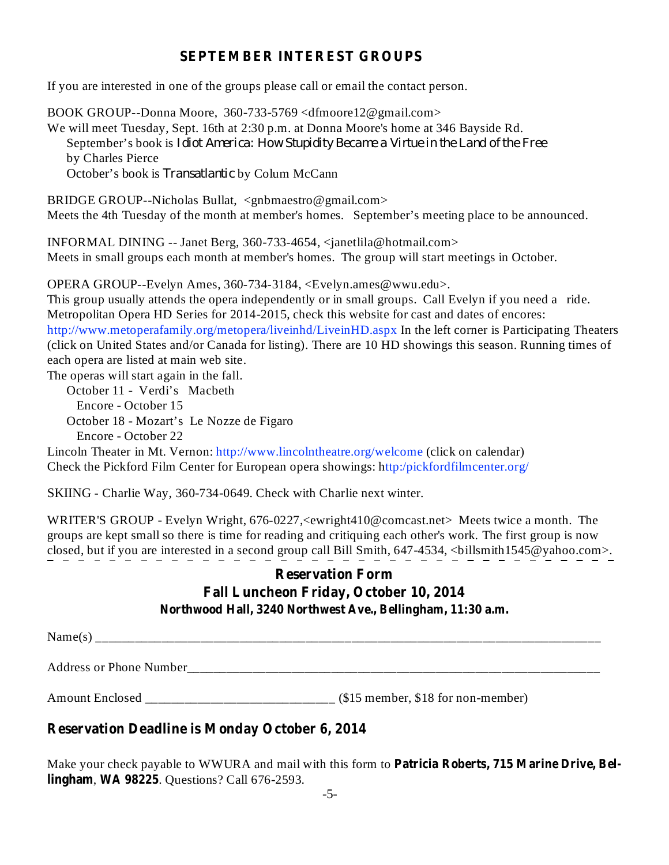### **SEPTEMBER INTEREST GROUPS**

If you are interested in one of the groups please call or email the contact person.

BOOK GROUP--Donna Moore, 360-733-5769 <dfmoore12@gmail.com> We will meet Tuesday, Sept. 16th at 2:30 p.m. at Donna Moore's home at 346 Bayside Rd. September's book is *Idiot America: How Stupidity Became a Virtue in the Land of the Free* by Charles Pierce October's book is *Transatlantic* by Colum McCann

BRIDGE GROUP--Nicholas Bullat, <gnbmaestro@gmail.com> Meets the 4th Tuesday of the month at member's homes. September's meeting place to be announced.

INFORMAL DINING -- Janet Berg, 360-733-4654, <janetlila@hotmail.com> Meets in small groups each month at member's homes. The group will start meetings in October.

OPERA GROUP--Evelyn Ames, 360-734-3184, <Evelyn.ames@wwu.edu>.

This group usually attends the opera independently or in small groups. Call Evelyn if you need a ride. Metropolitan Opera HD Series for 2014-2015, check this website for cast and dates of encores: http://www.metoperafamily.org/metopera/liveinhd/LiveinHD.aspx In the left corner is Participating Theaters (click on United States and/or Canada for listing). There are 10 HD showings this season. Running times of each opera are listed at main web site.

The operas will start again in the fall.

October 11 - Verdi's Macbeth

Encore - October 15

October 18 - Mozart's Le Nozze de Figaro

Encore - October 22

Lincoln Theater in Mt. Vernon: http://www.lincolntheatre.org/welcome (click on calendar) Check the Pickford Film Center for European opera showings: http:/pickfordfilmcenter.org/

SKIING - Charlie Way, 360-734-0649. Check with Charlie next winter.

WRITER'S GROUP - Evelyn Wright, 676-0227,<ewright410@comcast.net> Meets twice a month. The groups are kept small so there is time for reading and critiquing each other's work. The first group is now closed, but if you are interested in a second group call Bill Smith, 647-4534, <billsmith1545@yahoo.com>.

## **Reservation Form Fall Luncheon Friday, October 10, 2014 Northwood Hall, 3240 Northwest Ave., Bellingham, 11:30 a.m.**

Name(s) \_\_\_\_\_\_\_\_\_\_\_\_\_\_\_\_\_\_\_\_\_\_\_\_\_\_\_\_\_\_\_\_\_\_\_\_\_\_\_\_\_\_\_\_\_\_\_\_\_\_\_\_\_\_\_\_\_\_\_\_\_\_\_\_\_\_\_\_\_\_\_\_\_\_\_\_\_

Address or Phone Number

Amount Enclosed (\$15 member, \$18 for non-member)

## **Reservation Deadline is Monday October 6, 2014**

**Patricia Roberts, 715 Marine Drive, Bel-**Make your check payable to WWURA and mail with this form to **lingham, WA 98225.** Questions? Call 676-2593.